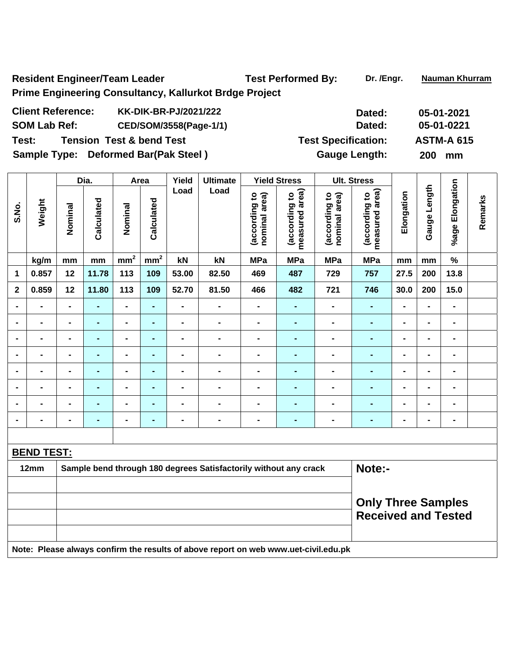Resident Engineer/Team Leader Test Performed By: Dr. /Engr. Nauman Khurram **Prime Engineering Consultancy, Kallurkot Brdge Project** 

| <b>Client Reference:</b> | <b>KK-DIK-BR-PJ/2021/222</b>         | Dated:                     | 05-01-2021        |
|--------------------------|--------------------------------------|----------------------------|-------------------|
| <b>SOM Lab Ref:</b>      | CED/SOM/3558(Page-1/1)               | Dated:                     | 05-01-0221        |
| Test:                    | <b>Tension Test &amp; bend Test</b>  | <b>Test Specification:</b> | <b>ASTM-A 615</b> |
|                          | Sample Type: Deformed Bar(Pak Steel) | <b>Gauge Length:</b>       | <b>200</b><br>mm  |

|                |                                                                                     |                | Dia.           | Area            |                 | Yield          | <b>Ultimate</b>                                                  |                                | <b>Yield Stress</b>             |                                | <b>Ult. Stress</b>                                      |                          |                |                 |         |
|----------------|-------------------------------------------------------------------------------------|----------------|----------------|-----------------|-----------------|----------------|------------------------------------------------------------------|--------------------------------|---------------------------------|--------------------------------|---------------------------------------------------------|--------------------------|----------------|-----------------|---------|
| S.No.          | Weight                                                                              | Nominal        | Calculated     | Nominal         | Calculated      | Load           | Load                                                             | (according to<br>nominal area) | measured area)<br>(according to | (according to<br>nominal area) | measured area)<br>(according to                         | Elongation               | Gauge Length   | %age Elongation | Remarks |
|                | kg/m                                                                                | mm             | mm             | mm <sup>2</sup> | mm <sup>2</sup> | kN             | kN                                                               | <b>MPa</b>                     | <b>MPa</b>                      | <b>MPa</b>                     | <b>MPa</b>                                              | mm                       | mm             | $\%$            |         |
| 1              | 0.857                                                                               | 12             | 11.78          | 113             | 109             | 53.00          | 82.50                                                            | 469                            | 487                             | 729                            | 757                                                     | 27.5                     | 200            | 13.8            |         |
| $\overline{2}$ | 0.859                                                                               | 12             | 11.80          | 113             | 109             | 52.70          | 81.50                                                            | 466                            | 482                             | 721                            | 746                                                     | 30.0                     | 200            | 15.0            |         |
|                | $\overline{a}$                                                                      |                |                | $\blacksquare$  | $\blacksquare$  | $\overline{a}$ | $\blacksquare$                                                   | $\overline{a}$                 | $\blacksquare$                  |                                | $\blacksquare$                                          |                          | $\overline{a}$ | $\blacksquare$  |         |
|                | $\blacksquare$                                                                      | $\blacksquare$ | $\blacksquare$ | $\blacksquare$  | $\blacksquare$  | $\blacksquare$ | $\blacksquare$                                                   | $\blacksquare$                 | $\blacksquare$                  | $\blacksquare$                 | $\blacksquare$                                          | $\blacksquare$           | $\blacksquare$ | $\blacksquare$  |         |
| $\blacksquare$ | $\blacksquare$                                                                      | $\blacksquare$ | ٠              | $\blacksquare$  | $\blacksquare$  | $\blacksquare$ | $\blacksquare$                                                   | $\qquad \qquad \blacksquare$   | $\blacksquare$                  | $\blacksquare$                 | $\blacksquare$                                          | $\blacksquare$           | $\blacksquare$ | $\blacksquare$  |         |
|                | Ξ.                                                                                  | $\blacksquare$ | $\blacksquare$ | $\blacksquare$  | ۰               | $\blacksquare$ | $\blacksquare$                                                   | $\blacksquare$                 | $\blacksquare$                  | $\blacksquare$                 | $\blacksquare$                                          | $\blacksquare$           | $\blacksquare$ | $\blacksquare$  |         |
| -              | Ξ.                                                                                  | $\blacksquare$ | $\blacksquare$ | $\blacksquare$  | $\blacksquare$  | $\overline{a}$ | $\blacksquare$                                                   | $\blacksquare$                 | $\blacksquare$                  | $\blacksquare$                 | $\blacksquare$                                          | $\blacksquare$           | $\blacksquare$ | $\blacksquare$  |         |
|                | $\overline{a}$                                                                      |                | $\blacksquare$ | $\blacksquare$  | $\blacksquare$  | $\overline{a}$ | $\blacksquare$                                                   | $\blacksquare$                 |                                 |                                | $\blacksquare$                                          |                          | $\blacksquare$ | $\blacksquare$  |         |
|                |                                                                                     |                |                | $\blacksquare$  | $\blacksquare$  |                | $\blacksquare$                                                   | $\blacksquare$                 |                                 |                                |                                                         |                          |                | $\overline{a}$  |         |
| $\blacksquare$ | $\blacksquare$                                                                      | $\blacksquare$ | $\blacksquare$ | $\blacksquare$  | -               | -              | $\blacksquare$                                                   | $\blacksquare$                 | $\blacksquare$                  | $\blacksquare$                 | ٠                                                       | $\overline{\phantom{0}}$ | $\blacksquare$ | $\blacksquare$  |         |
|                |                                                                                     |                |                |                 |                 |                |                                                                  |                                |                                 |                                |                                                         |                          |                |                 |         |
|                | <b>BEND TEST:</b>                                                                   |                |                |                 |                 |                |                                                                  |                                |                                 |                                |                                                         |                          |                |                 |         |
|                | 12mm                                                                                |                |                |                 |                 |                | Sample bend through 180 degrees Satisfactorily without any crack |                                |                                 |                                | Note:-                                                  |                          |                |                 |         |
|                |                                                                                     |                |                |                 |                 |                |                                                                  |                                |                                 |                                |                                                         |                          |                |                 |         |
|                |                                                                                     |                |                |                 |                 |                |                                                                  |                                |                                 |                                | <b>Only Three Samples</b><br><b>Received and Tested</b> |                          |                |                 |         |
|                | Note: Please always confirm the results of above report on web www.uet-civil.edu.pk |                |                |                 |                 |                |                                                                  |                                |                                 |                                |                                                         |                          |                |                 |         |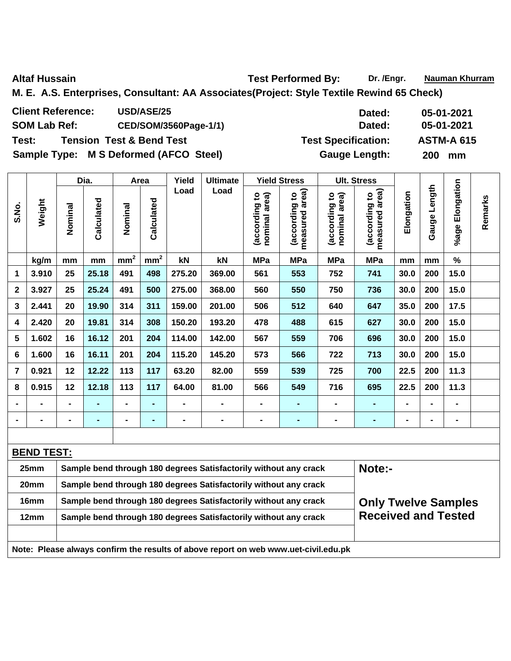Altaf Hussain **National Altaf Hussain** Test Performed By: Dr. /Engr. Nauman Khurram

**M. E. A.S. Enterprises, Consultant: AA Associates(Project: Style Textile Rewind 65 Check)** 

| <b>Client Reference:</b><br><b>USD/ASE/25</b> | Dated:                     | 05-01-2021        |
|-----------------------------------------------|----------------------------|-------------------|
| <b>SOM Lab Ref:</b><br>CED/SOM/3560Page-1/1)  | Dated:                     | 05-01-2021        |
| Test:<br><b>Tension Test &amp; Bend Test</b>  | <b>Test Specification:</b> | <b>ASTM-A 615</b> |
| Sample Type: M S Deformed (AFCO Steel)        | <b>Gauge Length:</b>       | 200 mm            |

|                |        |                | Dia.       |                 | Area            | Yield  | <b>Ultimate</b> |                                         | <b>Yield Stress</b>                      |                                   | <b>Ult. Stress</b>                                         |                |                 |                       |         |
|----------------|--------|----------------|------------|-----------------|-----------------|--------|-----------------|-----------------------------------------|------------------------------------------|-----------------------------------|------------------------------------------------------------|----------------|-----------------|-----------------------|---------|
| S.No.          | Weight | Nominal        | Calculated | Nominal         | Calculated      | Load   | Load            | nominal area)<br><u>٥</u><br>(according | measured area)<br><u>ہ</u><br>(according | area)<br>(according to<br>nominal | area)<br>$\overline{\mathbf{c}}$<br>(according<br>measured | Elongation     | Length<br>Gauge | Elongation<br>$%$ age | Remarks |
|                | kg/m   | mm             | mm         | mm <sup>2</sup> | mm <sup>2</sup> | kN     | kN              | <b>MPa</b>                              | <b>MPa</b>                               | <b>MPa</b>                        | <b>MPa</b>                                                 | mm             | mm              | $\%$                  |         |
| 1              | 3.910  | 25             | 25.18      | 491             | 498             | 275.20 | 369.00          | 561                                     | 553                                      | 752                               | 741                                                        | 30.0           | 200             | 15.0                  |         |
| $\mathbf{2}$   | 3.927  | 25             | 25.24      | 491             | 500             | 275.00 | 368.00          | 560                                     | 550                                      | 750                               | 736                                                        | 30.0           | 200             | 15.0                  |         |
| 3              | 2.441  | 20             | 19.90      | 314             | 311             | 159.00 | 201.00          | 506                                     | 512                                      | 640                               | 647                                                        | 35.0           | 200             | 17.5                  |         |
| 4              | 2.420  | 20             | 19.81      | 314             | 308             | 150.20 | 193.20          | 478                                     | 488                                      | 615                               | 627                                                        | 30.0           | 200             | 15.0                  |         |
| 5              | 1.602  | 16             | 16.12      | 201             | 204             | 114.00 | 142.00          | 567                                     | 559                                      | 706                               | 696                                                        | 30.0           | 200             | 15.0                  |         |
| 6              | 1.600  | 16             | 16.11      | 201             | 204             | 115.20 | 145.20          | 573                                     | 566                                      | 722                               | 713                                                        | 30.0           | 200             | 15.0                  |         |
| 7              | 0.921  | 12             | 12.22      | 113             | 117             | 63.20  | 82.00           | 559                                     | 539                                      | 725                               | 700                                                        | 22.5           | 200             | 11.3                  |         |
| 8              | 0.915  | 12             | 12.18      | 113             | 117             | 64.00  | 81.00           | 566                                     | 549                                      | 716                               | 695                                                        | 22.5           | 200             | 11.3                  |         |
| $\blacksquare$ |        | $\blacksquare$ | ۰          | $\blacksquare$  | $\blacksquare$  | -      |                 |                                         | ٠                                        | $\blacksquare$                    | ٠                                                          | $\blacksquare$ | $\blacksquare$  | $\blacksquare$        |         |
|                |        |                |            | $\blacksquare$  | $\blacksquare$  |        |                 |                                         |                                          |                                   |                                                            | $\blacksquare$ | $\blacksquare$  | $\blacksquare$        |         |

| <b>BEND TEST:</b>                                                                   |                                                                  |                            |  |  |  |  |  |  |  |  |
|-------------------------------------------------------------------------------------|------------------------------------------------------------------|----------------------------|--|--|--|--|--|--|--|--|
| 25 <sub>mm</sub>                                                                    | Sample bend through 180 degrees Satisfactorily without any crack | Note:-                     |  |  |  |  |  |  |  |  |
| 20 <sub>mm</sub>                                                                    | Sample bend through 180 degrees Satisfactorily without any crack |                            |  |  |  |  |  |  |  |  |
| 16mm                                                                                | Sample bend through 180 degrees Satisfactorily without any crack | <b>Only Twelve Samples</b> |  |  |  |  |  |  |  |  |
| 12mm                                                                                | Sample bend through 180 degrees Satisfactorily without any crack | <b>Received and Tested</b> |  |  |  |  |  |  |  |  |
|                                                                                     |                                                                  |                            |  |  |  |  |  |  |  |  |
| Note: Please always confirm the results of above report on web www.uet-civil.edu.pk |                                                                  |                            |  |  |  |  |  |  |  |  |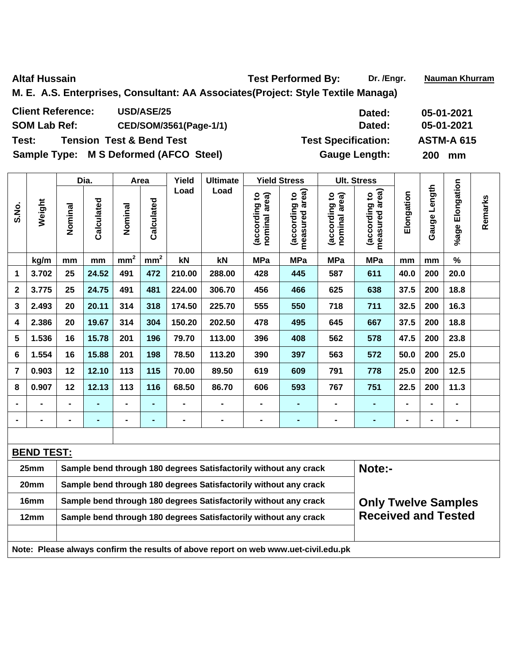$\overline{\phantom{a}}$ 

Altaf Hussain **National Altaf Hussain** Test Performed By: Dr. /Engr. Nauman Khurram

**M. E. A.S. Enterprises, Consultant: AA Associates(Project: Style Textile Managa)** 

| <b>Client Reference:</b><br><b>USD/ASE/25</b> | Dated:                     | 05-01-2021        |
|-----------------------------------------------|----------------------------|-------------------|
| CED/SOM/3561(Page-1/1)<br><b>SOM Lab Ref:</b> | Dated:                     | 05-01-2021        |
| Test:<br><b>Tension Test &amp; Bend Test</b>  | <b>Test Specification:</b> | <b>ASTM-A 615</b> |
| Sample Type: M S Deformed (AFCO Steel)        | <b>Gauge Length:</b>       | <b>200</b><br>mm  |

|                         |        |                 | Dia.       |                 | Area            | Yield          | <b>Ultimate</b> |                                                           | <b>Yield Stress</b>                                     |                                   | <b>Ult. Stress</b>                                            |                |                 |                       |         |
|-------------------------|--------|-----------------|------------|-----------------|-----------------|----------------|-----------------|-----------------------------------------------------------|---------------------------------------------------------|-----------------------------------|---------------------------------------------------------------|----------------|-----------------|-----------------------|---------|
| S.No.                   | Weight | Nominal         | Calculated | Nominal         | Calculated      | Load           | Load            | area)<br>$\overline{\mathbf{c}}$<br>(according<br>nominal | measured area)<br>$\overline{\mathbf{c}}$<br>(according | area)<br>(according to<br>nominal | area)<br>$\overline{\mathbf{c}}$<br>according<br>measured ard | Elongation     | Length<br>Gauge | Elongation<br>$%$ age | Remarks |
|                         | kg/m   | mm              | mm         | mm <sup>2</sup> | mm <sup>2</sup> | kN             | kN              | <b>MPa</b>                                                | <b>MPa</b>                                              | <b>MPa</b>                        | <b>MPa</b>                                                    | mm             | mm              | $\%$                  |         |
| 1                       | 3.702  | 25              | 24.52      | 491             | 472             | 210.00         | 288.00          | 428                                                       | 445                                                     | 587                               | 611                                                           | 40.0           | 200             | 20.0                  |         |
| $\mathbf{2}$            | 3.775  | 25              | 24.75      | 491             | 481             | 224.00         | 306.70          | 456                                                       | 466                                                     | 625                               | 638                                                           | 37.5           | 200             | 18.8                  |         |
| 3                       | 2.493  | 20              | 20.11      | 314             | 318             | 174.50         | 225.70          | 555                                                       | 550                                                     | 718                               | 711                                                           | 32.5           | 200             | 16.3                  |         |
| 4                       | 2.386  | 20              | 19.67      | 314             | 304             | 150.20         | 202.50          | 478                                                       | 495                                                     | 645                               | 667                                                           | 37.5           | 200             | 18.8                  |         |
| 5                       | 1.536  | 16              | 15.78      | 201             | 196             | 79.70          | 113.00          | 396                                                       | 408                                                     | 562                               | 578                                                           | 47.5           | 200             | 23.8                  |         |
| 6                       | 1.554  | 16              | 15.88      | 201             | 198             | 78.50          | 113.20          | 390                                                       | 397                                                     | 563                               | 572                                                           | 50.0           | 200             | 25.0                  |         |
| $\overline{\mathbf{z}}$ | 0.903  | 12 <sub>2</sub> | 12.10      | 113             | 115             | 70.00          | 89.50           | 619                                                       | 609                                                     | 791                               | 778                                                           | 25.0           | 200             | 12.5                  |         |
| 8                       | 0.907  | 12 <sub>2</sub> | 12.13      | 113             | 116             | 68.50          | 86.70           | 606                                                       | 593                                                     | 767                               | 751                                                           | 22.5           | 200             | 11.3                  |         |
|                         |        |                 |            | $\blacksquare$  | $\blacksquare$  | $\blacksquare$ |                 | $\blacksquare$                                            | $\blacksquare$                                          | $\blacksquare$                    |                                                               | $\blacksquare$ | $\blacksquare$  | $\blacksquare$        |         |
| $\blacksquare$          |        | $\blacksquare$  | ۰          | $\blacksquare$  | $\blacksquare$  | $\blacksquare$ |                 | $\blacksquare$                                            | ٠                                                       |                                   |                                                               | $\blacksquare$ | $\blacksquare$  | $\blacksquare$        |         |

| <b>BEND TEST:</b>                                                                                      |                                                                  |                            |  |  |  |  |  |  |  |  |
|--------------------------------------------------------------------------------------------------------|------------------------------------------------------------------|----------------------------|--|--|--|--|--|--|--|--|
| 25 <sub>mm</sub>                                                                                       | Sample bend through 180 degrees Satisfactorily without any crack | Note:-                     |  |  |  |  |  |  |  |  |
| 20 <sub>mm</sub>                                                                                       | Sample bend through 180 degrees Satisfactorily without any crack |                            |  |  |  |  |  |  |  |  |
| 16mm                                                                                                   | Sample bend through 180 degrees Satisfactorily without any crack | <b>Only Twelve Samples</b> |  |  |  |  |  |  |  |  |
| <b>Received and Tested</b><br>Sample bend through 180 degrees Satisfactorily without any crack<br>12mm |                                                                  |                            |  |  |  |  |  |  |  |  |
|                                                                                                        |                                                                  |                            |  |  |  |  |  |  |  |  |
| Note: Please always confirm the results of above report on web www.uet-civil.edu.pk                    |                                                                  |                            |  |  |  |  |  |  |  |  |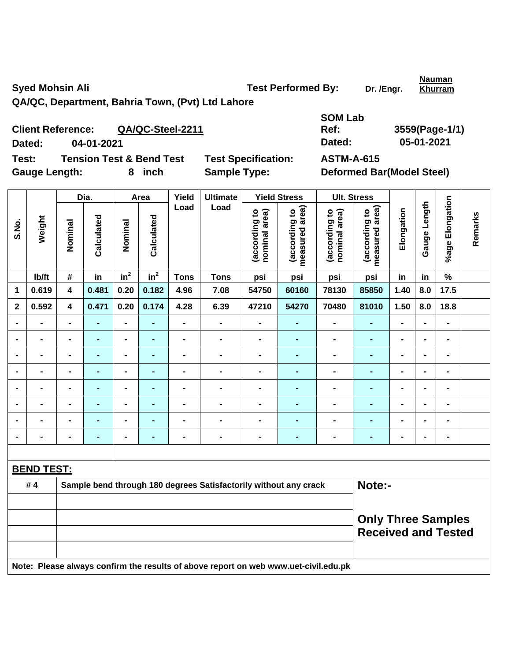Syed Mohsin Ali **Test Performed By:** Dr. /Engr.

**Nauman Khurram**

**QA/QC, Department, Bahria Town, (Pvt) Ltd Lahore** 

**Client Reference: QA/QC-Steel-2211 Dated: 04-01-2021 Dated: 05-01-2021 Test: Tension Test & Bend Test Test Specification: ASTM-A-615**  Gauge Length: 8 inch Sample Type: Deformed Bar(Model Steel)

**SOM Lab Ref: 3559(Page-1/1)** 

|                |                                                                                     |                         | Dia.           |                              | Area           | Yield          | <b>Ultimate</b>                                                  |                                | <b>Yield Stress</b>                                     |                                | <b>Ult. Stress</b>              |                |                |                              |         |
|----------------|-------------------------------------------------------------------------------------|-------------------------|----------------|------------------------------|----------------|----------------|------------------------------------------------------------------|--------------------------------|---------------------------------------------------------|--------------------------------|---------------------------------|----------------|----------------|------------------------------|---------|
| S.No.          | Weight                                                                              | Nominal                 | Calculated     | Nominal                      | Calculated     | Load           | Load                                                             | (according to<br>nominal area) | measured area)<br>(according to                         | (according to<br>nominal area) | measured area)<br>(according to | Elongation     | Gauge Length   | %age Elongation              | Remarks |
|                | lb/ft                                                                               | #                       | in             | in <sup>2</sup>              | $in^2$         | <b>Tons</b>    | <b>Tons</b>                                                      | psi                            | psi                                                     | psi                            | psi                             | in             | in             | $\%$                         |         |
| 1              | 0.619                                                                               | 4                       | 0.481          | 0.20                         | 0.182          | 4.96           | 7.08                                                             | 54750                          | 60160                                                   | 78130                          | 85850                           | 1.40           | 8.0            | 17.5                         |         |
| $\mathbf{2}$   | 0.592                                                                               | $\overline{\mathbf{4}}$ | 0.471          | 0.20                         | 0.174          | 4.28           | 6.39                                                             | 47210                          | 54270                                                   | 70480                          | 81010                           | 1.50           | 8.0            | 18.8                         |         |
|                | $\blacksquare$                                                                      |                         |                | $\overline{a}$               |                | $\overline{a}$ | $\blacksquare$                                                   | $\blacksquare$                 | $\blacksquare$                                          | L.                             |                                 | $\blacksquare$ | $\blacksquare$ | $\blacksquare$               |         |
|                | $\blacksquare$                                                                      | $\blacksquare$          | Ē.             | $\overline{\phantom{0}}$     | ٠              | -              | $\blacksquare$                                                   | $\blacksquare$                 | $\blacksquare$                                          | $\blacksquare$                 | $\blacksquare$                  | $\blacksquare$ | ۰              | $\blacksquare$               |         |
| $\blacksquare$ | $\blacksquare$                                                                      | $\blacksquare$          | Ē.             | $\qquad \qquad \blacksquare$ | $\blacksquare$ | $\blacksquare$ | $\blacksquare$                                                   | $\blacksquare$                 | $\blacksquare$                                          | $\blacksquare$                 | $\blacksquare$                  | $\blacksquare$ | $\blacksquare$ | $\blacksquare$               |         |
|                | $\blacksquare$                                                                      | $\blacksquare$          |                | $\blacksquare$               | ٠              | -              | -                                                                | $\blacksquare$                 | $\blacksquare$                                          | $\blacksquare$                 | $\blacksquare$                  | $\blacksquare$ | ۰              | $\qquad \qquad \blacksquare$ |         |
|                | $\blacksquare$                                                                      | $\blacksquare$          | $\blacksquare$ | $\overline{\phantom{0}}$     | $\blacksquare$ | $\blacksquare$ | $\blacksquare$                                                   | $\blacksquare$                 | $\blacksquare$                                          | $\blacksquare$                 | $\blacksquare$                  | $\blacksquare$ | $\blacksquare$ | $\blacksquare$               |         |
|                | $\blacksquare$                                                                      | $\blacksquare$          |                | ä,                           | ÷              | $\overline{a}$ | $\qquad \qquad \blacksquare$                                     | $\blacksquare$                 | $\blacksquare$                                          | $\blacksquare$                 | $\blacksquare$                  | $\blacksquare$ |                | $\blacksquare$               |         |
|                |                                                                                     |                         | Ē.             | $\blacksquare$               |                |                | $\blacksquare$                                                   | $\blacksquare$                 | $\blacksquare$                                          | $\blacksquare$                 | Ē.                              | $\blacksquare$ |                | $\blacksquare$               |         |
|                |                                                                                     |                         |                | -                            |                | -              | -                                                                | $\blacksquare$                 | $\blacksquare$                                          | $\blacksquare$                 | $\blacksquare$                  | $\blacksquare$ | $\blacksquare$ | $\qquad \qquad \blacksquare$ |         |
|                |                                                                                     |                         |                |                              |                |                |                                                                  |                                |                                                         |                                |                                 |                |                |                              |         |
|                | <b>BEND TEST:</b>                                                                   |                         |                |                              |                |                |                                                                  |                                |                                                         |                                |                                 |                |                |                              |         |
|                | #4                                                                                  |                         |                |                              |                |                | Sample bend through 180 degrees Satisfactorily without any crack |                                |                                                         |                                | Note:-                          |                |                |                              |         |
|                |                                                                                     |                         |                |                              |                |                |                                                                  |                                |                                                         |                                |                                 |                |                |                              |         |
|                |                                                                                     |                         |                |                              |                |                |                                                                  |                                | <b>Only Three Samples</b><br><b>Received and Tested</b> |                                |                                 |                |                |                              |         |
|                | Note: Please always confirm the results of above report on web www.uet-civil.edu.pk |                         |                |                              |                |                |                                                                  |                                |                                                         |                                |                                 |                |                |                              |         |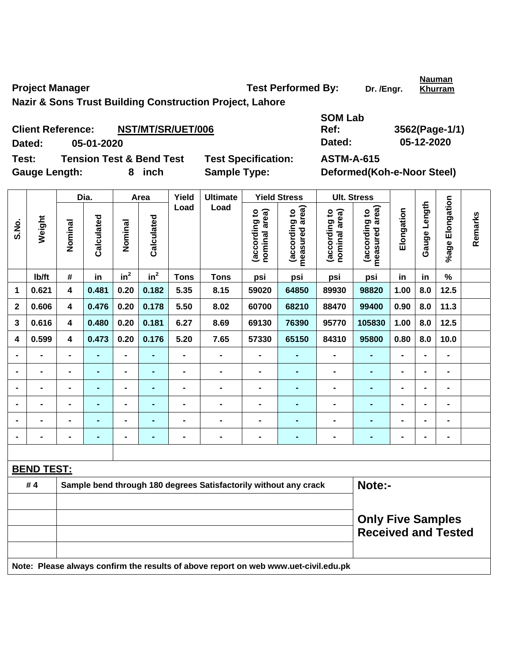Project Manager **Test Performed By:** Dr. /Engr.

**Khurram**

**Nazir & Sons Trust Building Construction Project, Lahore** 

|                      | <b>Client Reference:</b><br>NST/MT/SR/UET/006 |                            | Ref:              | 3562(Page-1/1              |
|----------------------|-----------------------------------------------|----------------------------|-------------------|----------------------------|
| Dated:               | 05-01-2020                                    |                            | Dated:            | 05-12-2020                 |
| Test:                | <b>Tension Test &amp; Bend Test</b>           | <b>Test Specification:</b> | <b>ASTM-A-615</b> |                            |
| <b>Gauge Length:</b> | 8 inch                                        | <b>Sample Type:</b>        |                   | Deformed(Koh-e-Noor Steel) |

**SOM Lab Ref: 3562(Page-1/1) Dated: 05-01-2020 Dated: 05-12-2020** 

|                              |                   |                              | Dia.           |                 | Area           | Yield          | <b>Ultimate</b>                                                                     |                                | <b>Yield Stress</b>             |                                | <b>Ult. Stress</b>                                     |                |                |                 |         |
|------------------------------|-------------------|------------------------------|----------------|-----------------|----------------|----------------|-------------------------------------------------------------------------------------|--------------------------------|---------------------------------|--------------------------------|--------------------------------------------------------|----------------|----------------|-----------------|---------|
| S.No.                        | Weight            | Nominal                      | Calculated     | Nominal         | Calculated     | Load           | Load                                                                                | (according to<br>nominal area) | measured area)<br>(according to | (according to<br>nominal area) | measured area)<br>(according to                        | Elongation     | Gauge Length   | %age Elongation | Remarks |
|                              | Ib/ft             | #                            | in             | in <sup>2</sup> | $in^2$         | <b>Tons</b>    | <b>Tons</b>                                                                         | psi                            | psi                             | psi                            | psi                                                    | in             | in             | $\%$            |         |
| 1                            | 0.621             | $\overline{\mathbf{4}}$      | 0.481          | 0.20            | 0.182          | 5.35           | 8.15                                                                                | 59020                          | 64850                           | 89930                          | 98820                                                  | 1.00           | 8.0            | 12.5            |         |
| $\mathbf 2$                  | 0.606             | $\overline{\mathbf{4}}$      | 0.476          | 0.20            | 0.178          | 5.50           | 8.02                                                                                | 60700                          | 68210                           | 88470                          | 99400                                                  | 0.90           | 8.0            | 11.3            |         |
| 3                            | 0.616             | $\overline{\mathbf{4}}$      | 0.480          | 0.20            | 0.181          | 6.27           | 8.69                                                                                | 69130                          | 76390                           | 95770                          | 105830                                                 | 1.00           | 8.0            | 12.5            |         |
| 4                            | 0.599             | $\overline{\mathbf{4}}$      | 0.473          | 0.20            | 0.176          | 5.20           | 7.65                                                                                | 57330                          | 65150                           | 84310                          | 95800                                                  | 0.80           | 8.0            | 10.0            |         |
| $\blacksquare$               | $\blacksquare$    | $\qquad \qquad \blacksquare$ | ٠              | $\blacksquare$  | $\blacksquare$ | $\blacksquare$ | $\blacksquare$                                                                      | $\blacksquare$                 | $\blacksquare$                  | $\blacksquare$                 | ۰                                                      | $\blacksquare$ | $\blacksquare$ | $\blacksquare$  |         |
| $\qquad \qquad \blacksquare$ | $\blacksquare$    | $\qquad \qquad \blacksquare$ | ÷,             | $\blacksquare$  | $\blacksquare$ | $\blacksquare$ | $\overline{a}$                                                                      | $\blacksquare$                 | $\blacksquare$                  | $\blacksquare$                 | $\blacksquare$                                         | $\blacksquare$ | $\blacksquare$ | $\blacksquare$  |         |
|                              | $\blacksquare$    | -                            | ä,             | $\blacksquare$  |                | $\blacksquare$ | $\blacksquare$                                                                      | $\blacksquare$                 | $\blacksquare$                  | $\blacksquare$                 | $\blacksquare$                                         | $\blacksquare$ |                | $\blacksquare$  |         |
|                              | $\blacksquare$    | $\blacksquare$               |                | $\blacksquare$  |                | $\blacksquare$ | $\blacksquare$                                                                      | $\blacksquare$                 | ۰                               | $\blacksquare$                 | $\blacksquare$                                         |                |                | $\blacksquare$  |         |
| $\blacksquare$               | ۰                 | $\blacksquare$               | $\blacksquare$ | $\blacksquare$  |                | $\blacksquare$ | $\blacksquare$                                                                      | $\blacksquare$                 | $\blacksquare$                  | $\blacksquare$                 | $\blacksquare$                                         | $\blacksquare$ |                | $\blacksquare$  |         |
| $\blacksquare$               | $\blacksquare$    | $\blacksquare$               | $\blacksquare$ | $\blacksquare$  | $\blacksquare$ | $\blacksquare$ | $\blacksquare$                                                                      | $\blacksquare$                 | $\blacksquare$                  | $\blacksquare$                 | $\blacksquare$                                         | $\blacksquare$ | $\blacksquare$ | $\blacksquare$  |         |
|                              |                   |                              |                |                 |                |                |                                                                                     |                                |                                 |                                |                                                        |                |                |                 |         |
|                              | <b>BEND TEST:</b> |                              |                |                 |                |                |                                                                                     |                                |                                 |                                |                                                        |                |                |                 |         |
|                              | #4                |                              |                |                 |                |                | Sample bend through 180 degrees Satisfactorily without any crack                    |                                |                                 |                                | Note:-                                                 |                |                |                 |         |
|                              |                   |                              |                |                 |                |                |                                                                                     |                                |                                 |                                | <b>Only Five Samples</b><br><b>Received and Tested</b> |                |                |                 |         |
|                              |                   |                              |                |                 |                |                | Note: Please always confirm the results of above report on web www.uet-civil.edu.pk |                                |                                 |                                |                                                        |                |                |                 |         |

**Nauman**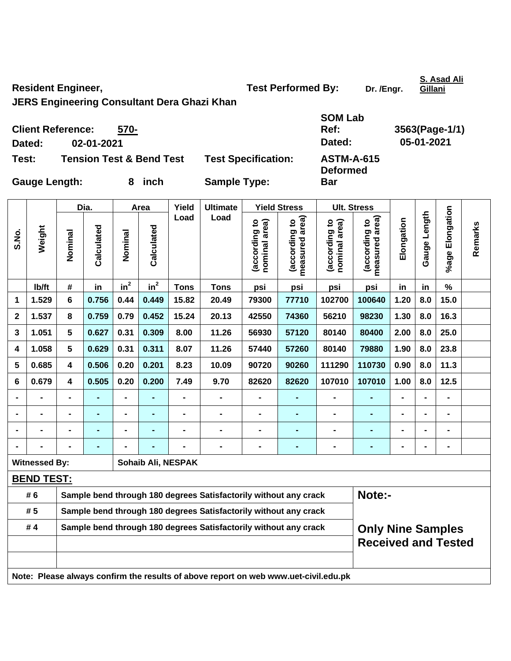Resident Engineer, Test Performed By: Dr. /Engr.

**S. Asad Ali Gillani**

**JERS Engineering Consultant Dera Ghazi Khan** 

|                      | <b>Client Reference:</b><br>570-    | <b>SOM Lab</b><br>Ref:     | 3563(Page-1/1)                       |            |
|----------------------|-------------------------------------|----------------------------|--------------------------------------|------------|
| Dated:               | 02-01-2021                          |                            | Dated:                               | 05-01-2021 |
| Test:                | <b>Tension Test &amp; Bend Test</b> | <b>Test Specification:</b> | <b>ASTM-A-615</b><br><b>Deformed</b> |            |
| <b>Gauge Length:</b> | 8 inch                              | <b>Sample Type:</b>        | <b>Bar</b>                           |            |

| S.No.                                                                               | Weight               | Dia.                                                             |                | Area           |                | Yield              | <b>Ultimate</b>                                                  | <b>Yield Stress</b>            |                                    |                                | <b>Ult. Stress</b>                                     |                |                 |                 |         |  |
|-------------------------------------------------------------------------------------|----------------------|------------------------------------------------------------------|----------------|----------------|----------------|--------------------|------------------------------------------------------------------|--------------------------------|------------------------------------|--------------------------------|--------------------------------------------------------|----------------|-----------------|-----------------|---------|--|
|                                                                                     |                      | Nominal                                                          | Calculated     | Nominal        | Calculated     | Load               | Load                                                             | (according to<br>nominal area) | area)<br>(according to<br>measured | (according to<br>nominal area) | measured area)<br>(according to                        | Elongation     | Length<br>Gauge | %age Elongation | Remarks |  |
|                                                                                     | Ib/ft                | #                                                                | in             | $in^2$         | $in^2$         | <b>Tons</b>        | <b>Tons</b>                                                      | psi                            | psi                                | psi                            | psi                                                    | in             | in              | $\frac{1}{2}$   |         |  |
| 1                                                                                   | 1.529                | 6                                                                | 0.756          | 0.44           | 0.449          | 15.82              | 20.49                                                            | 79300                          | 77710                              | 102700                         | 100640                                                 | 1.20           | 8.0             | 15.0            |         |  |
| $\mathbf 2$                                                                         | 1.537                | 8                                                                | 0.759          | 0.79           | 0.452          | 15.24              | 20.13                                                            | 42550                          | 74360                              | 56210                          | 98230                                                  | 1.30           | 8.0             | 16.3            |         |  |
| 3                                                                                   | 1.051                | 5                                                                | 0.627          | 0.31           | 0.309          | 8.00               | 11.26                                                            | 56930                          | 57120                              | 80140                          | 80400                                                  | 2.00           | 8.0             | 25.0            |         |  |
| 4                                                                                   | 1.058                | 5                                                                | 0.629          | 0.31           | 0.311          | 8.07               | 11.26                                                            | 57440                          | 57260                              | 80140                          | 79880                                                  | 1.90           | 8.0             | 23.8            |         |  |
| 5                                                                                   | 0.685                | 4                                                                | 0.506          | 0.20           | 0.201          | 8.23               | 10.09                                                            | 90720                          | 90260                              | 111290                         | 110730                                                 | 0.90           | 8.0             | 11.3            |         |  |
| 6                                                                                   | 0.679                | $\overline{\mathbf{4}}$                                          | 0.505          | 0.20           | 0.200          | 7.49               | 9.70                                                             | 82620                          | 82620                              | 107010                         | 107010                                                 | 1.00           | 8.0             | 12.5            |         |  |
|                                                                                     | $\blacksquare$       | $\blacksquare$                                                   | $\blacksquare$ | $\blacksquare$ | $\blacksquare$ | $\blacksquare$     | $\blacksquare$                                                   | $\blacksquare$                 | $\blacksquare$                     | $\blacksquare$                 | $\blacksquare$                                         | $\overline{a}$ |                 | $\blacksquare$  |         |  |
|                                                                                     | $\blacksquare$       | $\qquad \qquad \blacksquare$                                     | $\blacksquare$ | $\blacksquare$ | $\blacksquare$ | $\blacksquare$     | $\blacksquare$                                                   | $\blacksquare$                 | $\blacksquare$                     | $\blacksquare$                 | ä,                                                     | $\blacksquare$ |                 | $\blacksquare$  |         |  |
|                                                                                     |                      |                                                                  | $\blacksquare$ | $\blacksquare$ | ٠              |                    | $\blacksquare$                                                   | $\blacksquare$                 | $\blacksquare$                     | $\blacksquare$                 | $\blacksquare$                                         | $\blacksquare$ |                 | $\blacksquare$  |         |  |
|                                                                                     |                      |                                                                  | $\blacksquare$ |                |                |                    | $\blacksquare$                                                   | $\blacksquare$                 | $\blacksquare$                     | $\blacksquare$                 | $\blacksquare$                                         | $\blacksquare$ |                 | $\blacksquare$  |         |  |
|                                                                                     | <b>Witnessed By:</b> |                                                                  |                |                |                | Sohaib Ali, NESPAK |                                                                  |                                |                                    |                                |                                                        |                |                 |                 |         |  |
|                                                                                     | <b>BEND TEST:</b>    |                                                                  |                |                |                |                    |                                                                  |                                |                                    |                                |                                                        |                |                 |                 |         |  |
|                                                                                     | # 6                  |                                                                  |                |                |                |                    | Sample bend through 180 degrees Satisfactorily without any crack |                                |                                    |                                | Note:-                                                 |                |                 |                 |         |  |
|                                                                                     | # 5                  |                                                                  |                |                |                |                    | Sample bend through 180 degrees Satisfactorily without any crack |                                |                                    |                                |                                                        |                |                 |                 |         |  |
|                                                                                     | #4                   | Sample bend through 180 degrees Satisfactorily without any crack |                |                |                |                    |                                                                  |                                |                                    |                                | <b>Only Nine Samples</b><br><b>Received and Tested</b> |                |                 |                 |         |  |
|                                                                                     |                      |                                                                  |                |                |                |                    |                                                                  |                                |                                    |                                |                                                        |                |                 |                 |         |  |
|                                                                                     |                      |                                                                  |                |                |                |                    |                                                                  |                                |                                    |                                |                                                        |                |                 |                 |         |  |
| Note: Please always confirm the results of above report on web www.uet-civil.edu.pk |                      |                                                                  |                |                |                |                    |                                                                  |                                |                                    |                                |                                                        |                |                 |                 |         |  |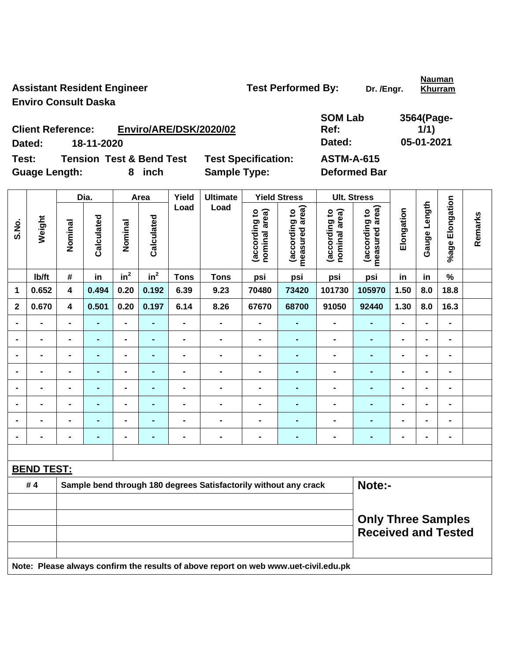Assistant Resident Engineer **Test Performed By:** Dr. /Engr. **Enviro Consult Daska** 

**Nauman Khurram**

**Client Reference: Enviro/ARE/DSK/2020/02 Dated: 18-11-2020 Dated: 05-01-2021 Test: Tension Test & Bend Test Test Specification: ASTM-A-615** 

**SOM Lab Ref: 3564(Page-1/1)** 

**Guage Length: 8 inch Sample Type: Deformed Bar** 

|                | Weight                                                                              | Dia.                    |                | Area                         |                | Yield          | <b>Ultimate</b>              |                                | <b>Yield Stress</b>                                     |                                | <b>Ult. Stress</b>              |                |                          |                              |         |
|----------------|-------------------------------------------------------------------------------------|-------------------------|----------------|------------------------------|----------------|----------------|------------------------------|--------------------------------|---------------------------------------------------------|--------------------------------|---------------------------------|----------------|--------------------------|------------------------------|---------|
| S.No.          |                                                                                     | Nominal                 | Calculated     | Nominal                      | Calculated     | Load           | Load                         | (according to<br>nominal area) | (according to<br>measured area)                         | (according to<br>nominal area) | measured area)<br>(according to | Elongation     | Gauge Length             | %age Elongation              | Remarks |
|                | Ib/ft                                                                               | #                       | in             | $in^2$                       | $in^2$         | <b>Tons</b>    | <b>Tons</b>                  | psi                            | psi                                                     | psi                            | psi                             | in             | in                       | $\%$                         |         |
| $\mathbf 1$    | 0.652                                                                               | $\overline{\mathbf{4}}$ | 0.494          | 0.20                         | 0.192          | 6.39           | 9.23                         | 70480                          | 73420                                                   | 101730                         | 105970                          | 1.50           | 8.0                      | 18.8                         |         |
| $\mathbf{2}$   | 0.670                                                                               | $\overline{\mathbf{4}}$ | 0.501          | 0.20                         | 0.197          | 6.14           | 8.26                         | 67670                          | 68700                                                   | 91050                          | 92440                           | 1.30           | 8.0                      | 16.3                         |         |
|                |                                                                                     |                         |                | $\blacksquare$               |                | $\blacksquare$ | $\blacksquare$               | $\blacksquare$                 |                                                         | $\blacksquare$                 |                                 | -              |                          | $\blacksquare$               |         |
| $\blacksquare$ | $\blacksquare$                                                                      | $\blacksquare$          | $\blacksquare$ | $\overline{\phantom{0}}$     | ۰              | $\blacksquare$ | $\qquad \qquad \blacksquare$ | $\blacksquare$                 | $\blacksquare$                                          | $\blacksquare$                 | $\blacksquare$                  | $\blacksquare$ | $\blacksquare$           | $\blacksquare$               |         |
| $\blacksquare$ | $\blacksquare$                                                                      | $\blacksquare$          | $\blacksquare$ | $\blacksquare$               | $\blacksquare$ | $\blacksquare$ | $\qquad \qquad \blacksquare$ | $\overline{\phantom{0}}$       | $\blacksquare$                                          | $\blacksquare$                 | $\blacksquare$                  | $\blacksquare$ | $\blacksquare$           | $\blacksquare$               |         |
|                | $\blacksquare$                                                                      | $\blacksquare$          | $\blacksquare$ | $\blacksquare$               | $\blacksquare$ | $\blacksquare$ | $\blacksquare$               | -                              | $\overline{a}$                                          | $\blacksquare$                 | $\blacksquare$                  | -              |                          | $\blacksquare$               |         |
|                |                                                                                     | $\blacksquare$          | $\blacksquare$ | $\blacksquare$               | $\blacksquare$ |                | $\blacksquare$               | $\blacksquare$                 |                                                         | $\blacksquare$                 | $\blacksquare$                  | $\blacksquare$ |                          | $\blacksquare$               |         |
|                |                                                                                     | $\blacksquare$          |                | $\blacksquare$               |                |                | $\blacksquare$               | $\blacksquare$                 |                                                         | $\blacksquare$                 | $\blacksquare$                  | $\blacksquare$ |                          | $\blacksquare$               |         |
|                | $\blacksquare$                                                                      | $\blacksquare$          | $\blacksquare$ | $\qquad \qquad \blacksquare$ | $\blacksquare$ | $\blacksquare$ | $\qquad \qquad \blacksquare$ | $\blacksquare$                 | ÷                                                       | $\blacksquare$                 | $\blacksquare$                  | $\blacksquare$ | $\overline{\phantom{0}}$ | $\blacksquare$               |         |
|                |                                                                                     | $\blacksquare$          | ÷,             | $\blacksquare$               | ۰              | $\blacksquare$ | $\blacksquare$               | $\blacksquare$                 |                                                         | $\blacksquare$                 | $\blacksquare$                  | -              |                          | $\qquad \qquad \blacksquare$ |         |
|                |                                                                                     |                         |                |                              |                |                |                              |                                |                                                         |                                |                                 |                |                          |                              |         |
|                | <b>BEND TEST:</b>                                                                   |                         |                |                              |                |                |                              |                                |                                                         |                                |                                 |                |                          |                              |         |
|                | #4<br>Note:-<br>Sample bend through 180 degrees Satisfactorily without any crack    |                         |                |                              |                |                |                              |                                |                                                         |                                |                                 |                |                          |                              |         |
|                |                                                                                     |                         |                |                              |                |                |                              |                                |                                                         |                                |                                 |                |                          |                              |         |
|                |                                                                                     |                         |                |                              |                |                |                              |                                | <b>Only Three Samples</b><br><b>Received and Tested</b> |                                |                                 |                |                          |                              |         |
|                |                                                                                     |                         |                |                              |                |                |                              |                                |                                                         |                                |                                 |                |                          |                              |         |
|                | Note: Please always confirm the results of above report on web www.uet-civil.edu.pk |                         |                |                              |                |                |                              |                                |                                                         |                                |                                 |                |                          |                              |         |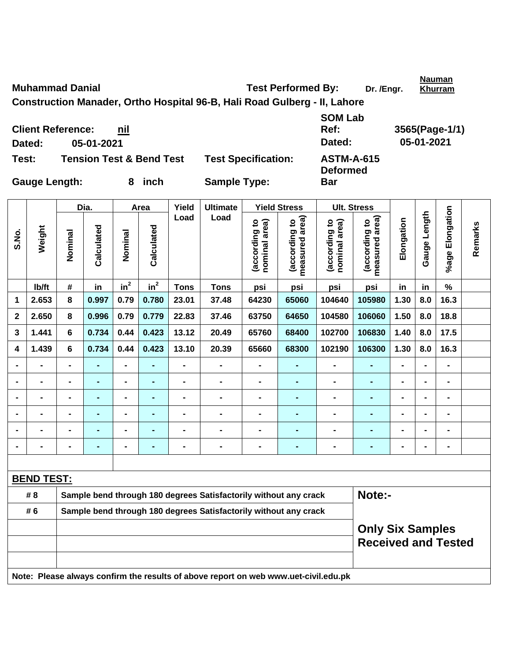**Test: Tension Test & Bend Test Test Specification: ASTM-A-615 Deformed**  Gauge Length: 8 inch Sample Type: **Bar**  Dia. | Area | Yield | Ultimate | Yield Stress | Ult. Stress **%age Elongation**  %age Elongation **Gauge Length Load Load**  Gauge Length **measured area) measured area)**  (according to<br>nominal area) (according to<br>measured area) (according to<br>nominal area) (according to<br>measured area) **Elongation nominal area) nominal area) (according to (according to (according to (according to**  Elongation **Remarks**  Remarks **Weight Calculated Calculated**  Calculated Calculated **S.No. Nominal Nominal**  Nominal Nominal  $\mathsf{lb}/\mathsf{ft}$  # in in<sup>2</sup>  $in^2$  **Tons Tons psi psi psi psi in in % 1 2.653 8 0.997 0.79 0.780 23.01 37.48 64230 65060 104640 105980 1.30 8.0 16.3 2 2.650 8 0.996 0.79 0.779 22.83 37.46 63750 64650 104580 106060 1.50 8.0 18.8 3 1.441 6 0.734 0.44 0.423 13.12 20.49 65760 68400 102700 106830 1.40 8.0 17.5 4 1.439 6 0.734 0.44 0.423 13.10 20.39 65660 68300 102190 106300 1.30 8.0 16.3 - - - - - - - - - - - - - - - - - - - - - - - - - - - - - - - - - - - - - - - - - - - - - - - - - - - - - - - - - - - - - - - - - - - - - - - - - - - - - - - - - - - - - - - - - - BEND TEST:** # 8 Sample bend through 180 degrees Satisfactorily without any crack **Note:-# 6 Sample bend through 180 degrees Satisfactorily without any crack Only Six Samples Received and Tested Note: Please always confirm the results of above report on web www.uet-civil.edu.pk** 

**Client Reference: nil**

**Dated: 05-01-2021 Dated: 05-01-2021** 

**SOM Lab** 

**Nauman** 

**Khurram**

**Muhammad Danial Compared By:** Dr. /Engr. **Dr. /Engr. Dr.** /Engr. **Construction Manader, Ortho Hospital 96-B, Hali Road Gulberg - II, Lahore** 

**Ref: 3565(Page-1/1)**